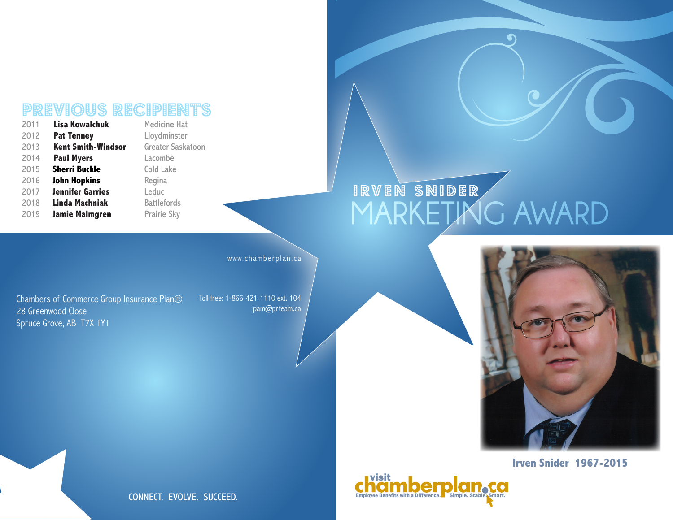# **PREVIOUS RECIPIENTS**

| 2011 | <b>Lisa Kowalchuk</b>     | Medicine Hat        |
|------|---------------------------|---------------------|
| 2012 | <b>Pat Tenney</b>         | Lloydminster        |
| 2013 | <b>Kent Smith-Windsor</b> | <b>Greater Sask</b> |
| 2014 | <b>Paul Myers</b>         | Lacombe             |
| 2015 | <b>Sherri Buckle</b>      | <b>Cold Lake</b>    |
| 2016 | <b>John Hopkins</b>       | Regina              |
| 2017 | <b>Jennifer Garries</b>   | Leduc               |
| 2018 | Linda Machniak            | <b>Battlefords</b>  |
| 2019 | <b>Jamie Malmgren</b>     | Prairie Sky         |

Saskatoon

www.chamberplan.ca

Chambers of Commerce Group Insurance Plan® 28 Greenwood Close Spruce Grove, AB T7X 1Y1

Toll free: 1-866-421-1110 ext. 104 pam@prteam.ca

## IRVEN SNIDER **MARKETING AWARD**



### **Irven Snider 1967-2015**



CONNECT. EVOLVE. SUCCEED.